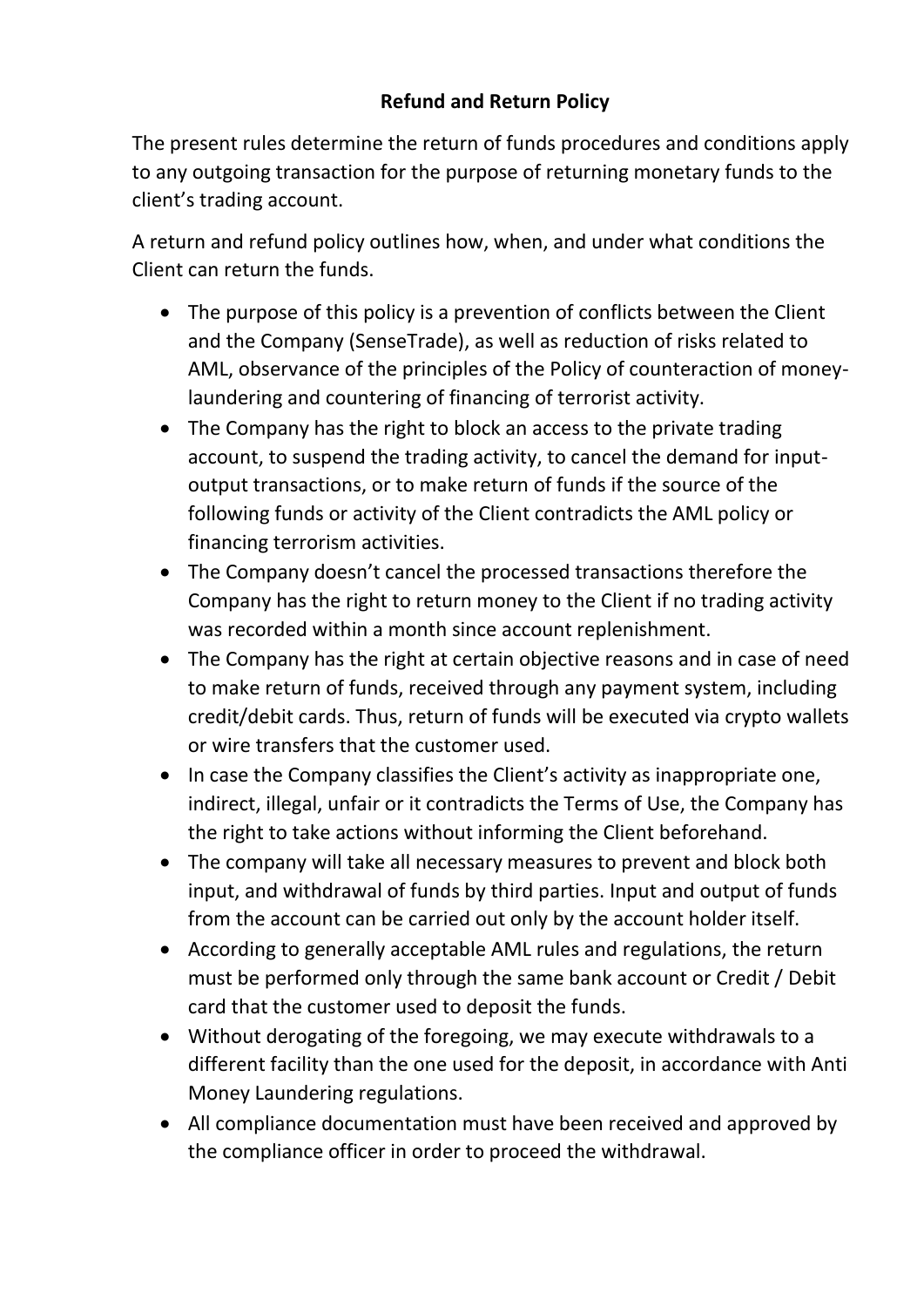## **Refund and Return Policy**

The present rules determine the return of funds procedures and conditions apply to any outgoing transaction for the purpose of returning monetary funds to the client's trading account.

A return and refund policy outlines how, when, and under what conditions the Client can return the funds.

- The purpose of this policy is a prevention of conflicts between the Client and the Company (SenseTrade), as well as reduction of risks related to AML, observance of the principles of the Policy of counteraction of moneylaundering and countering of financing of terrorist activity.
- The Company has the right to block an access to the private trading account, to suspend the trading activity, to cancel the demand for inputoutput transactions, or to make return of funds if the source of the following funds or activity of the Client contradicts the AML policy or financing terrorism activities.
- The Company doesn't cancel the processed transactions therefore the Company has the right to return money to the Client if no trading activity was recorded within a month since account replenishment.
- The Company has the right at certain objective reasons and in case of need to make return of funds, received through any payment system, including credit/debit cards. Thus, return of funds will be executed via crypto wallets or wire transfers that the customer used.
- In case the Company classifies the Client's activity as inappropriate one, indirect, illegal, unfair or it contradicts the Terms of Use, the Company has the right to take actions without informing the Client beforehand.
- The company will take all necessary measures to prevent and block both input, and withdrawal of funds by third parties. Input and output of funds from the account can be carried out only by the account holder itself.
- According to generally acceptable AML rules and regulations, the return must be performed only through the same bank account or Credit / Debit card that the customer used to deposit the funds.
- Without derogating of the foregoing, we may execute withdrawals to a different facility than the one used for the deposit, in accordance with Anti Money Laundering regulations.
- All compliance documentation must have been received and approved by the compliance officer in order to proceed the withdrawal.